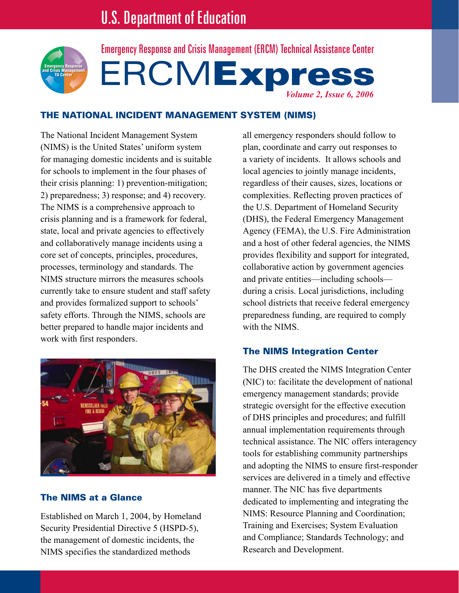

ERCMExpres *Volume 2, Issue 6, 2006* Emergency Response and Crisis Management (ERCM) Technical Assistance Center

## THE NATIONAL INCIDENT MANAGEMENT SYSTEM (NIMS)

The National Incident Management System (NIMS) is the United States' uniform system for managing domestic incidents and is suitable for schools to implement in the four phases of their crisis planning: 1) prevention-mitigation; 2) preparedness; 3) response; and 4) recovery. The NIMS is a comprehensive approach to crisis planning and is a framework for federal, state, local and private agencies to effectively and collaboratively manage incidents using a core set of concepts, principles, procedures, processes, terminology and standards. The NIMS structure mirrors the measures schools currently take to ensure student and staff safety and provides formalized support to schools' safety efforts. Through the NIMS, schools are better prepared to handle major incidents and work with first responders.



# The NIMS at a Glance

Established on March 1, 2004, by Homeland Security Presidential Directive 5 (HSPD-5), the management of domestic incidents, the NIMS specifies the standardized methods

all emergency responders should follow to plan, coordinate and carry out responses to a variety of incidents. It allows schools and local agencies to jointly manage incidents, regardless of their causes, sizes, locations or complexities. Reflecting proven practices of the U.S. Department of Homeland Security (DHS), the Federal Emergency Management Agency (FEMA), the U.S. Fire Administration and a host of other federal agencies, the NIMS provides flexibility and support for integrated, collaborative action by government agencies and private entities—including schools during a crisis. Local jurisdictions, including school districts that receive federal emergency preparedness funding, are required to comply with the NIMS

# The NIMS Integration Center

The DHS created the NIMS Integration Center (NIC) to: facilitate the development of national emergency management standards; provide strategic oversight for the effective execution of DHS principles and procedures; and fulfill annual implementation requirements through technical assistance. The NIC offers interagency tools for establishing community partnerships and adopting the NIMS to ensure first-responder services are delivered in a timely and effective manner. The NIC has five departments dedicated to implementing and integrating the NIMS: Resource Planning and Coordination; Training and Exercises; System Evaluation and Compliance; Standards Technology; and Research and Development.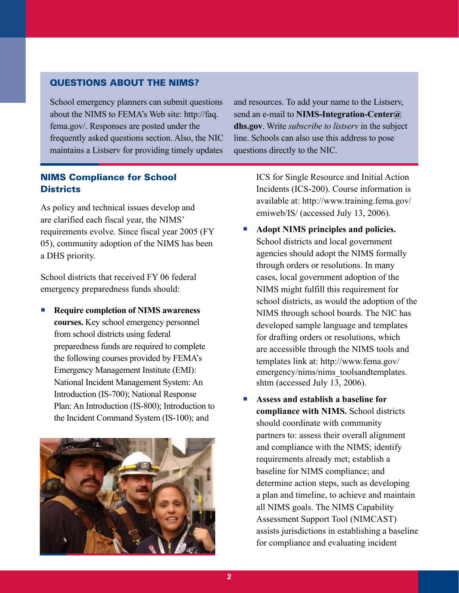### Questions About the NIMS?

School emergency planners can submit questions about the NIMS to FEMA's Web site: http://faq. fema.gov/. Responses are posted under the frequently asked questions section. Also, the NIC maintains a Listserv for providing timely updates

# NIMS Compliance for School **Districts**

As policy and technical issues develop and are clarified each fiscal year, the NIMS' requirements evolve. Since fiscal year 2005 (FY 05), community adoption of the NIMS has been a DHS priority.

School districts that received FY 06 federal emergency preparedness funds should:

**Require completion of NIMS awareness courses.** Key school emergency personnel from school districts using federal preparedness funds are required to complete the following courses provided by FEMA's Emergency Management Institute (EMI): National Incident Management System: An Introduction (IS-700); National Response Plan: An Introduction (IS-800); Introduction to the Incident Command System (IS-100); and l.



and resources. To add your name to the Listserv, send an e-mail to **NIMS-Integration-Center@ dhs.gov**. Write *subscribe to listserv* in the subject line. Schools can also use this address to pose questions directly to the NIC.

> ICS for Single Resource and Initial Action Incidents (ICS-200). Course information is available at: http://www.training.fema.gov/ emiweb/IS/ (accessed July 13, 2006).

- **Adopt NIMS principles and policies.** School districts and local government agencies should adopt the NIMS formally through orders or resolutions. In many cases, local government adoption of the NIMS might fulfill this requirement for school districts, as would the adoption of the NIMS through school boards. The NIC has developed sample language and templates for drafting orders or resolutions, which are accessible through the NIMS tools and templates link at: http://www.fema.gov/ emergency/nims/nims\_toolsandtemplates. shtm (accessed July 13, 2006). l.
- **Assess and establish a baseline for compliance with NIMS.** School districts should coordinate with community partners to: assess their overall alignment and compliance with the NIMS; identify requirements already met; establish a baseline for NIMS compliance; and determine action steps, such as developing a plan and timeline, to achieve and maintain all NIMS goals. The NIMS Capability Assessment Support Tool (NIMCAST) assists jurisdictions in establishing a baseline for compliance and evaluating incident  $\sim$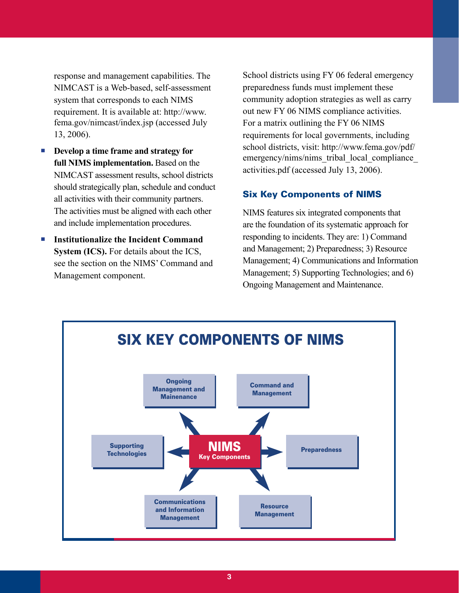response and management capabilities. The NIMCAST is a Web-based, self-assessment system that corresponds to each NIMS requirement. It is available at: http://www. fema.gov/nimcast/index.jsp (accessed July 13, 2006).

- **Develop a time frame and strategy for full NIMS implementation.** Based on the NIMCAST assessment results, school districts should strategically plan, schedule and conduct all activities with their community partners. The activities must be aligned with each other and include implementation procedures. l.
- **Institutionalize the Incident Command System (ICS).** For details about the ICS, see the section on the NIMS' Command and Management component.

School districts using FY 06 federal emergency preparedness funds must implement these community adoption strategies as well as carry out new FY 06 NIMS compliance activities. For a matrix outlining the FY 06 NIMS requirements for local governments, including school districts, visit: http://www.fema.gov/pdf/ emergency/nims/nims\_tribal\_local\_compliance activities.pdf (accessed July 13, 2006).

### Six Key Components of NIMS

NIMS features six integrated components that are the foundation of its systematic approach for responding to incidents. They are: 1) Command and Management; 2) Preparedness; 3) Resource Management; 4) Communications and Information Management; 5) Supporting Technologies; and 6) Ongoing Management and Maintenance.

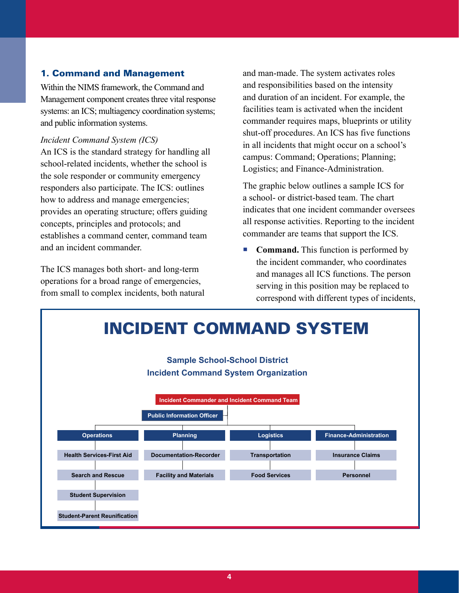# 1. Command and Management

Within the NIMS framework, the Command and Management component creates three vital response systems: an ICS; multiagency coordination systems; and public information systems.

#### *Incident Command System (ICS)*

An ICS is the standard strategy for handling all school-related incidents, whether the school is the sole responder or community emergency responders also participate. The ICS: outlines how to address and manage emergencies; provides an operating structure; offers guiding concepts, principles and protocols; and establishes a command center, command team and an incident commander.

The ICS manages both short- and long-term operations for a broad range of emergencies, from small to complex incidents, both natural and man-made. The system activates roles and responsibilities based on the intensity and duration of an incident. For example, the facilities team is activated when the incident commander requires maps, blueprints or utility shut-off procedures. An ICS has five functions in all incidents that might occur on a school's campus: Command; Operations; Planning; Logistics; and Finance-Administration.

The graphic below outlines a sample ICS for a school- or district-based team. The chart indicates that one incident commander oversees all response activities. Reporting to the incident commander are teams that support the ICS.

**Command.** This function is performed by the incident commander, who coordinates and manages all ICS functions. The person serving in this position may be replaced to correspond with different types of incidents,  $\mathcal{L}_{\mathcal{A}}$ 

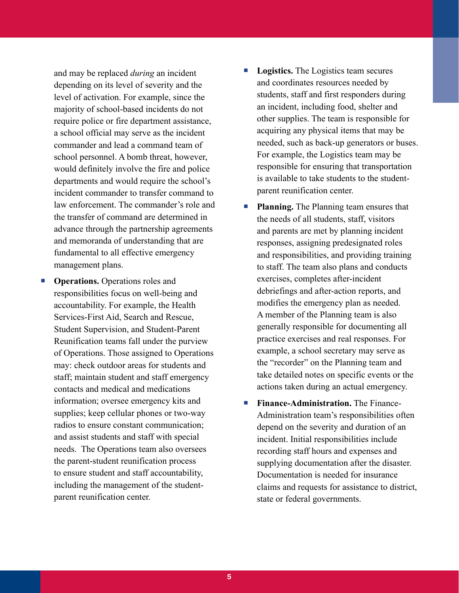and may be replaced *during* an incident depending on its level of severity and the level of activation. For example, since the majority of school-based incidents do not require police or fire department assistance, a school official may serve as the incident commander and lead a command team of school personnel. A bomb threat, however, would definitely involve the fire and police departments and would require the school's incident commander to transfer command to law enforcement. The commander's role and the transfer of command are determined in advance through the partnership agreements and memoranda of understanding that are fundamental to all effective emergency management plans.

**• Operations.** Operations roles and responsibilities focus on well-being and accountability. For example, the Health Services-First Aid, Search and Rescue, Student Supervision, and Student-Parent Reunification teams fall under the purview of Operations. Those assigned to Operations may: check outdoor areas for students and staff; maintain student and staff emergency contacts and medical and medications information; oversee emergency kits and supplies; keep cellular phones or two-way radios to ensure constant communication; and assist students and staff with special needs. The Operations team also oversees the parent-student reunification process to ensure student and staff accountability, including the management of the studentparent reunification center.

- **Logistics.** The Logistics team secures and coordinates resources needed by students, staff and first responders during an incident, including food, shelter and other supplies. The team is responsible for acquiring any physical items that may be needed, such as back-up generators or buses. For example, the Logistics team may be responsible for ensuring that transportation is available to take students to the studentparent reunification center.
- **Planning.** The Planning team ensures that the needs of all students, staff, visitors and parents are met by planning incident responses, assigning predesignated roles and responsibilities, and providing training to staff. The team also plans and conducts exercises, completes after-incident debriefings and after-action reports, and modifies the emergency plan as needed. A member of the Planning team is also generally responsible for documenting all practice exercises and real responses. For example, a school secretary may serve as the "recorder" on the Planning team and take detailed notes on specific events or the actions taken during an actual emergency.  $\overline{\phantom{a}}$
- **Finance-Administration.** The Finance-Administration team's responsibilities often depend on the severity and duration of an incident. Initial responsibilities include recording staff hours and expenses and supplying documentation after the disaster. Documentation is needed for insurance claims and requests for assistance to district, state or federal governments.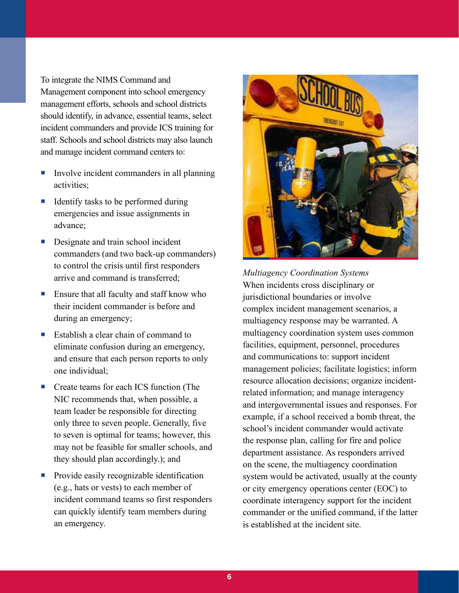To integrate the NIMS Command and Management component into school emergency management efforts, schools and school districts should identify, in advance, essential teams, select incident commanders and provide ICS training for staff. Schools and school districts may also launch and manage incident command centers to:

- Involve incident commanders in all planning activities;  $\Box$
- Identify tasks to be performed during emergencies and issue assignments in advance;  $\Box$
- Designate and train school incident commanders (and two back-up commanders) to control the crisis until first responders arrive and command is transferred;
- **Ensure that all faculty and staff know who** their incident commander is before and during an emergency;
- Establish a clear chain of command to eliminate confusion during an emergency, and ensure that each person reports to only one individual;
- Create teams for each ICS function (The NIC recommends that, when possible, a team leader be responsible for directing only three to seven people. Generally, five to seven is optimal for teams; however, this may not be feasible for smaller schools, and they should plan accordingly.); and
- Provide easily recognizable identification (e.g., hats or vests) to each member of incident command teams so first responders can quickly identify team members during an emergency.



*Multiagency Coordination Systems* When incidents cross disciplinary or jurisdictional boundaries or involve complex incident management scenarios, a multiagency response may be warranted. A multiagency coordination system uses common facilities, equipment, personnel, procedures and communications to: support incident management policies; facilitate logistics; inform resource allocation decisions; organize incidentrelated information; and manage interagency and intergovernmental issues and responses. For example, if a school received a bomb threat, the school's incident commander would activate the response plan, calling for fire and police department assistance. As responders arrived on the scene, the multiagency coordination system would be activated, usually at the county or city emergency operations center (EOC) to coordinate interagency support for the incident commander or the unified command, if the latter is established at the incident site.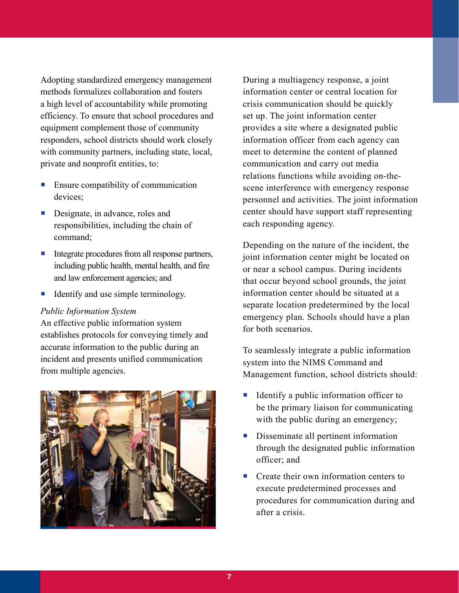Adopting standardized emergency management methods formalizes collaboration and fosters a high level of accountability while promoting efficiency. To ensure that school procedures and equipment complement those of community responders, school districts should work closely with community partners, including state, local, private and nonprofit entities, to:

- **Ensure compatibility of communication** devices;
- **Designate, in advance, roles and** responsibilities, including the chain of command;
- Integrate procedures from all response partners, including public health, mental health, and fire and law enforcement agencies; and  $\overline{\phantom{a}}$
- Identify and use simple terminology.  $\mathcal{C}$

#### *Public Information System*

An effective public information system establishes protocols for conveying timely and accurate information to the public during an incident and presents unified communication from multiple agencies.



During a multiagency response, a joint information center or central location for crisis communication should be quickly set up. The joint information center provides a site where a designated public information officer from each agency can meet to determine the content of planned communication and carry out media relations functions while avoiding on-thescene interference with emergency response personnel and activities. The joint information center should have support staff representing each responding agency.

Depending on the nature of the incident, the joint information center might be located on or near a school campus. During incidents that occur beyond school grounds, the joint information center should be situated at a separate location predetermined by the local emergency plan. Schools should have a plan for both scenarios.

To seamlessly integrate a public information system into the NIMS Command and Management function, school districts should:

- Identify a public information officer to be the primary liaison for communicating with the public during an emergency;
- Disseminate all pertinent information through the designated public information officer; and  $\Box$
- Create their own information centers to execute predetermined processes and procedures for communication during and after a crisis.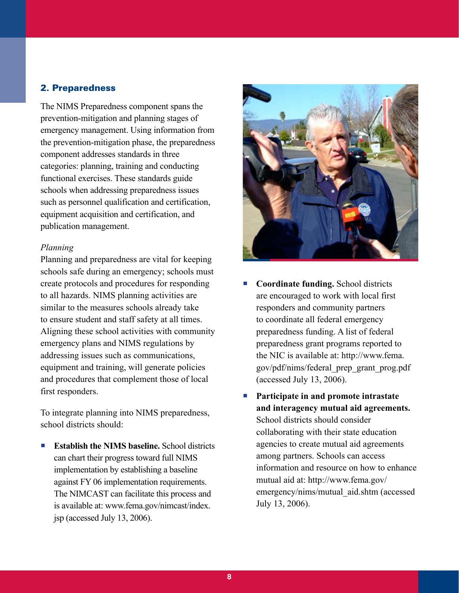## 2. Preparedness

The NIMS Preparedness component spans the prevention-mitigation and planning stages of emergency management. Using information from the prevention-mitigation phase, the preparedness component addresses standards in three categories: planning, training and conducting functional exercises. These standards guide schools when addressing preparedness issues such as personnel qualification and certification, equipment acquisition and certification, and publication management.

#### *Planning*

Planning and preparedness are vital for keeping schools safe during an emergency; schools must create protocols and procedures for responding to all hazards. NIMS planning activities are similar to the measures schools already take to ensure student and staff safety at all times. Aligning these school activities with community emergency plans and NIMS regulations by addressing issues such as communications, equipment and training, will generate policies and procedures that complement those of local first responders.

To integrate planning into NIMS preparedness, school districts should:

**Establish the NIMS baseline.** School districts can chart their progress toward full NIMS implementation by establishing a baseline against FY 06 implementation requirements. The NIMCAST can facilitate this process and is available at: www.fema.gov/nimcast/index. jsp (accessed July 13, 2006). 



- **Coordinate funding.** School districts are encouraged to work with local first responders and community partners to coordinate all federal emergency preparedness funding. A list of federal preparedness grant programs reported to the NIC is available at: http://www.fema. gov/pdf/nims/federal\_prep\_grant\_prog.pdf (accessed July 13, 2006).
- **Participate in and promote intrastate and interagency mutual aid agreements.** School districts should consider collaborating with their state education agencies to create mutual aid agreements among partners. Schools can access information and resource on how to enhance mutual aid at: http://www.fema.gov/ emergency/nims/mutual\_aid.shtm (accessed July 13, 2006).  $\overline{\mathbb{R}}$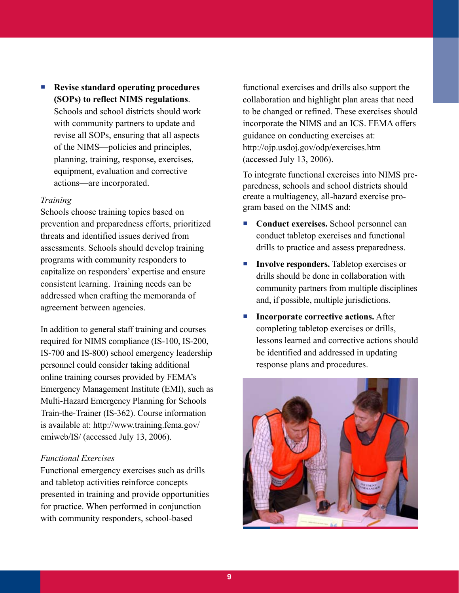**Revise standard operating procedures (SOPs) to reflect NIMS regulations**.

Schools and school districts should work with community partners to update and revise all SOPs, ensuring that all aspects of the NIMS—policies and principles, planning, training, response, exercises, equipment, evaluation and corrective actions—are incorporated.

#### *Training*

Schools choose training topics based on prevention and preparedness efforts, prioritized threats and identified issues derived from assessments. Schools should develop training programs with community responders to capitalize on responders' expertise and ensure consistent learning. Training needs can be addressed when crafting the memoranda of agreement between agencies.

In addition to general staff training and courses required for NIMS compliance (IS-100, IS-200, IS-700 and IS-800) school emergency leadership personnel could consider taking additional online training courses provided by FEMA's Emergency Management Institute (EMI), such as Multi-Hazard Emergency Planning for Schools Train-the-Trainer (IS-362). Course information is available at: http://www.training.fema.gov/ emiweb/IS/ (accessed July 13, 2006).

### *Functional Exercises*

Functional emergency exercises such as drills and tabletop activities reinforce concepts presented in training and provide opportunities for practice. When performed in conjunction with community responders, school-based

 functional exercises and drills also support the collaboration and highlight plan areas that need to be changed or refined. These exercises should incorporate the NIMS and an ICS. FEMA offers guidance on conducting exercises at: http://ojp.usdoj.gov/odp/exercises.htm (accessed July 13, 2006).

To integrate functional exercises into NIMS preparedness, schools and school districts should create a multiagency, all-hazard exercise program based on the NIMS and:

- **Conduct exercises.** School personnel can conduct tabletop exercises and functional drills to practice and assess preparedness.
- **Involve responders.** Tabletop exercises or drills should be done in collaboration with community partners from multiple disciplines and, if possible, multiple jurisdictions.  $\mathbb{R}^n$
- **Incorporate corrective actions.** After completing tabletop exercises or drills, lessons learned and corrective actions should be identified and addressed in updating response plans and procedures.  $\mathcal{L}_{\rm{max}}$

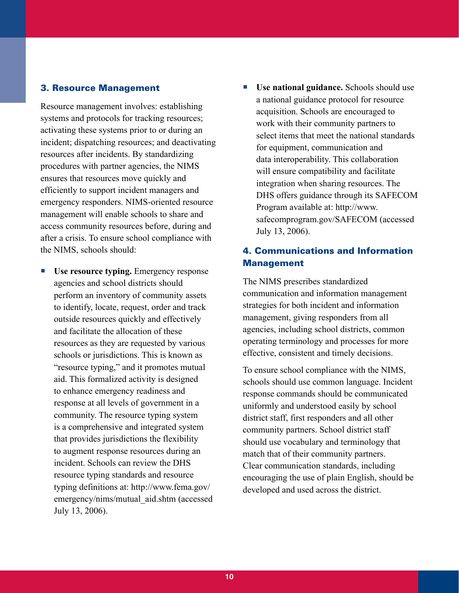### 3. Resource Management

Resource management involves: establishing systems and protocols for tracking resources; activating these systems prior to or during an incident; dispatching resources; and deactivating resources after incidents. By standardizing procedures with partner agencies, the NIMS ensures that resources move quickly and efficiently to support incident managers and emergency responders. NIMS-oriented resource management will enable schools to share and access community resources before, during and after a crisis. To ensure school compliance with the NIMS, schools should:

- **Use resource typing.** Emergency response agencies and school districts should perform an inventory of community assets to identify, locate, request, order and track outside resources quickly and effectively and facilitate the allocation of these resources as they are requested by various schools or jurisdictions. This is known as "resource typing," and it promotes mutual aid. This formalized activity is designed to enhance emergency readiness and response at all levels of government in a community. The resource typing system is a comprehensive and integrated system that provides jurisdictions the flexibility to augment response resources during an incident. Schools can review the DHS resource typing standards and resource typing definitions at: http://www.fema.gov/ emergency/nims/mutual\_aid.shtm (accessed July 13, 2006). l.
- **Use national guidance.** Schools should use a national guidance protocol for resource acquisition. Schools are encouraged to work with their community partners to select items that meet the national standards for equipment, communication and data interoperability. This collaboration will ensure compatibility and facilitate integration when sharing resources. The DHS offers guidance through its SAFECOM Program available at: http://www. safecomprogram.gov/SAFECOM (accessed July 13, 2006).

## 4. Communications and Information Management

The NIMS prescribes standardized communication and information management strategies for both incident and information management, giving responders from all agencies, including school districts, common operating terminology and processes for more effective, consistent and timely decisions.

To ensure school compliance with the NIMS, schools should use common language. Incident response commands should be communicated uniformly and understood easily by school district staff, first responders and all other community partners. School district staff should use vocabulary and terminology that match that of their community partners. Clear communication standards, including encouraging the use of plain English, should be developed and used across the district.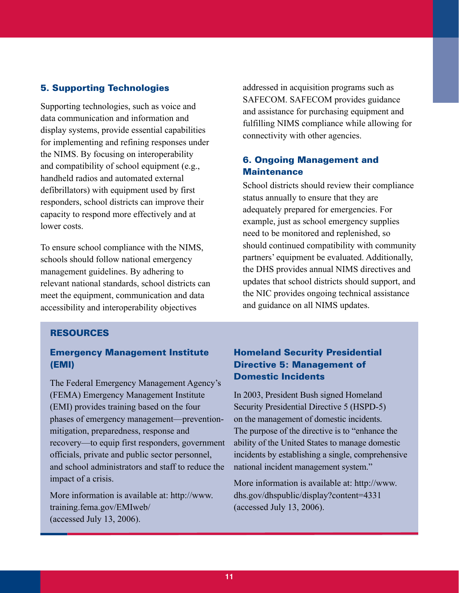### 5. Supporting Technologies

Supporting technologies, such as voice and data communication and information and display systems, provide essential capabilities for implementing and refining responses under the NIMS. By focusing on interoperability and compatibility of school equipment (e.g., handheld radios and automated external defibrillators) with equipment used by first responders, school districts can improve their capacity to respond more effectively and at lower costs.

To ensure school compliance with the NIMS, schools should follow national emergency management guidelines. By adhering to relevant national standards, school districts can meet the equipment, communication and data accessibility and interoperability objectives

Resources

## Emergency Management Institute (EMI)

The Federal Emergency Management Agency's (FEMA) Emergency Management Institute (EMI) provides training based on the four phases of emergency management—preventionmitigation, preparedness, response and recovery—to equip first responders, government officials, private and public sector personnel, and school administrators and staff to reduce the impact of a crisis.

More information is available at: http://www. training.fema.gov/EMIweb/ (accessed July 13, 2006).

addressed in acquisition programs such as SAFECOM. SAFECOM provides guidance and assistance for purchasing equipment and fulfilling NIMS compliance while allowing for connectivity with other agencies.

# 6. Ongoing Management and **Maintenance**

School districts should review their compliance status annually to ensure that they are adequately prepared for emergencies. For example, just as school emergency supplies need to be monitored and replenished, so should continued compatibility with community partners' equipment be evaluated. Additionally, the DHS provides annual NIMS directives and updates that school districts should support, and the NIC provides ongoing technical assistance and guidance on all NIMS updates.

# Homeland Security Presidential Directive 5: Management of Domestic Incidents

In 2003, President Bush signed Homeland Security Presidential Directive 5 (HSPD-5) on the management of domestic incidents. The purpose of the directive is to "enhance the ability of the United States to manage domestic incidents by establishing a single, comprehensive national incident management system."

More information is available at: http://www. dhs.gov/dhspublic/display?content=4331 (accessed July 13, 2006).